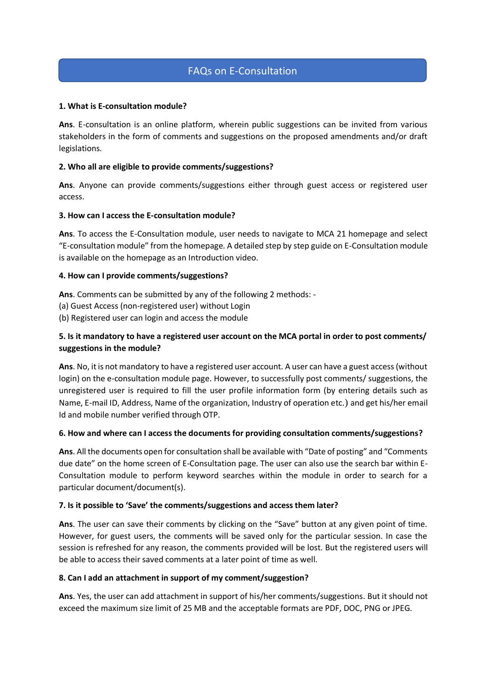# FAQs on E-Consultation

## **1. What is E-consultation module?**

**Ans**. E-consultation is an online platform, wherein public suggestions can be invited from various stakeholders in the form of comments and suggestions on the proposed amendments and/or draft legislations.

# **2. Who all are eligible to provide comments/suggestions?**

**Ans**. Anyone can provide comments/suggestions either through guest access or registered user access.

# **3. How can I access the E-consultation module?**

**Ans**. To access the E-Consultation module, user needs to navigate to MCA 21 homepage and select "E-consultation module" from the homepage. A detailed step by step guide on E-Consultation module is available on the homepage as an Introduction video.

# **4. How can I provide comments/suggestions?**

**Ans**. Comments can be submitted by any of the following 2 methods: -

- (a) Guest Access (non-registered user) without Login
- (b) Registered user can login and access the module

# **5. Is it mandatory to have a registered user account on the MCA portal in order to post comments/ suggestions in the module?**

**Ans**. No, it is not mandatory to have a registered user account. A user can have a guest access (without login) on the e-consultation module page. However, to successfully post comments/ suggestions, the unregistered user is required to fill the user profile information form (by entering details such as Name, E-mail ID, Address, Name of the organization, Industry of operation etc.) and get his/her email Id and mobile number verified through OTP.

#### **6. How and where can I access the documents for providing consultation comments/suggestions?**

**Ans**. All the documents open for consultation shall be available with "Date of posting" and "Comments due date" on the home screen of E-Consultation page. The user can also use the search bar within E-Consultation module to perform keyword searches within the module in order to search for a particular document/document(s).

#### **7. Is it possible to 'Save' the comments/suggestions and access them later?**

**Ans**. The user can save their comments by clicking on the "Save" button at any given point of time. However, for guest users, the comments will be saved only for the particular session. In case the session is refreshed for any reason, the comments provided will be lost. But the registered users will be able to access their saved comments at a later point of time as well.

#### **8. Can I add an attachment in support of my comment/suggestion?**

**Ans**. Yes, the user can add attachment in support of his/her comments/suggestions. But it should not exceed the maximum size limit of 25 MB and the acceptable formats are PDF, DOC, PNG or JPEG.